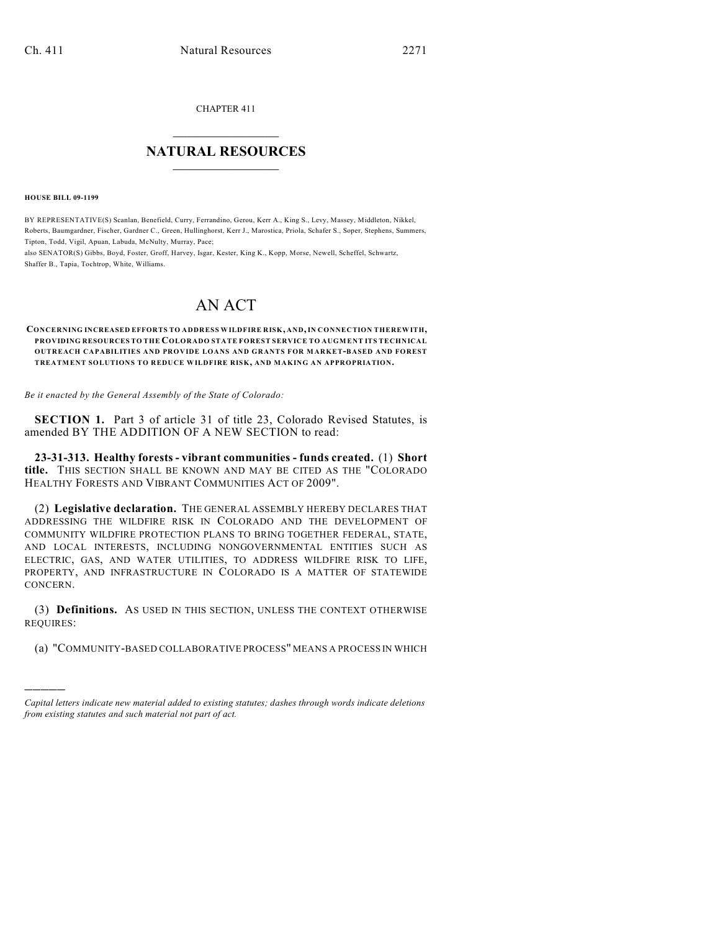CHAPTER 411

## $\mathcal{L}_\text{max}$  . The set of the set of the set of the set of the set of the set of the set of the set of the set of the set of the set of the set of the set of the set of the set of the set of the set of the set of the set **NATURAL RESOURCES**  $\frac{1}{\sqrt{2}}$  , where  $\frac{1}{\sqrt{2}}$  ,  $\frac{1}{\sqrt{2}}$  ,  $\frac{1}{\sqrt{2}}$

**HOUSE BILL 09-1199**

)))))

BY REPRESENTATIVE(S) Scanlan, Benefield, Curry, Ferrandino, Gerou, Kerr A., King S., Levy, Massey, Middleton, Nikkel, Roberts, Baumgardner, Fischer, Gardner C., Green, Hullinghorst, Kerr J., Marostica, Priola, Schafer S., Soper, Stephens, Summers, Tipton, Todd, Vigil, Apuan, Labuda, McNulty, Murray, Pace;

also SENATOR(S) Gibbs, Boyd, Foster, Groff, Harvey, Isgar, Kester, King K., Kopp, Morse, Newell, Scheffel, Schwartz, Shaffer B., Tapia, Tochtrop, White, Williams.

## AN ACT

**CONCERNING INCREASED EFFORTS TO ADDRESS WILDFIRE RISK, AND, IN CONNECTION THEREWITH, PROVIDING RESOURCES TO THE COLORADO STATE FOREST SERVICE TO AUGMENT ITS TECHNICAL OUTREACH CAPABILITIES AND PROVIDE LOANS AND GRANTS FOR MARKET-BASED AND FOREST TREATM ENT SOLUTIONS TO REDUCE WILDFIRE RISK, AND MAKING AN APPROPRIATION.**

*Be it enacted by the General Assembly of the State of Colorado:*

**SECTION 1.** Part 3 of article 31 of title 23, Colorado Revised Statutes, is amended BY THE ADDITION OF A NEW SECTION to read:

**23-31-313. Healthy forests - vibrant communities - funds created.** (1) **Short title.** THIS SECTION SHALL BE KNOWN AND MAY BE CITED AS THE "COLORADO HEALTHY FORESTS AND VIBRANT COMMUNITIES ACT OF 2009".

(2) **Legislative declaration.** THE GENERAL ASSEMBLY HEREBY DECLARES THAT ADDRESSING THE WILDFIRE RISK IN COLORADO AND THE DEVELOPMENT OF COMMUNITY WILDFIRE PROTECTION PLANS TO BRING TOGETHER FEDERAL, STATE, AND LOCAL INTERESTS, INCLUDING NONGOVERNMENTAL ENTITIES SUCH AS ELECTRIC, GAS, AND WATER UTILITIES, TO ADDRESS WILDFIRE RISK TO LIFE, PROPERTY, AND INFRASTRUCTURE IN COLORADO IS A MATTER OF STATEWIDE CONCERN.

(3) **Definitions.** AS USED IN THIS SECTION, UNLESS THE CONTEXT OTHERWISE REQUIRES:

(a) "COMMUNITY-BASED COLLABORATIVE PROCESS" MEANS A PROCESS IN WHICH

*Capital letters indicate new material added to existing statutes; dashes through words indicate deletions from existing statutes and such material not part of act.*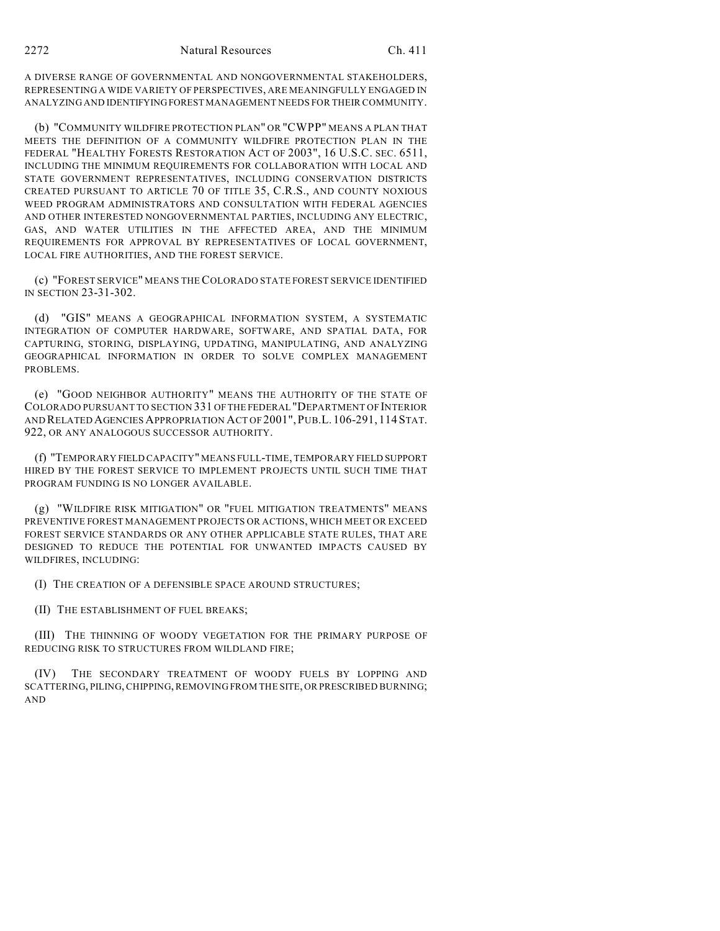A DIVERSE RANGE OF GOVERNMENTAL AND NONGOVERNMENTAL STAKEHOLDERS, REPRESENTING A WIDE VARIETY OF PERSPECTIVES, ARE MEANINGFULLY ENGAGED IN ANALYZING AND IDENTIFYING FOREST MANAGEMENT NEEDS FOR THEIR COMMUNITY.

(b) "COMMUNITY WILDFIRE PROTECTION PLAN" OR "CWPP" MEANS A PLAN THAT MEETS THE DEFINITION OF A COMMUNITY WILDFIRE PROTECTION PLAN IN THE FEDERAL "HEALTHY FORESTS RESTORATION ACT OF 2003", 16 U.S.C. SEC. 6511, INCLUDING THE MINIMUM REQUIREMENTS FOR COLLABORATION WITH LOCAL AND STATE GOVERNMENT REPRESENTATIVES, INCLUDING CONSERVATION DISTRICTS CREATED PURSUANT TO ARTICLE 70 OF TITLE 35, C.R.S., AND COUNTY NOXIOUS WEED PROGRAM ADMINISTRATORS AND CONSULTATION WITH FEDERAL AGENCIES AND OTHER INTERESTED NONGOVERNMENTAL PARTIES, INCLUDING ANY ELECTRIC, GAS, AND WATER UTILITIES IN THE AFFECTED AREA, AND THE MINIMUM REQUIREMENTS FOR APPROVAL BY REPRESENTATIVES OF LOCAL GOVERNMENT, LOCAL FIRE AUTHORITIES, AND THE FOREST SERVICE.

(c) "FOREST SERVICE" MEANS THE COLORADO STATE FOREST SERVICE IDENTIFIED IN SECTION 23-31-302.

(d) "GIS" MEANS A GEOGRAPHICAL INFORMATION SYSTEM, A SYSTEMATIC INTEGRATION OF COMPUTER HARDWARE, SOFTWARE, AND SPATIAL DATA, FOR CAPTURING, STORING, DISPLAYING, UPDATING, MANIPULATING, AND ANALYZING GEOGRAPHICAL INFORMATION IN ORDER TO SOLVE COMPLEX MANAGEMENT PROBLEMS.

(e) "GOOD NEIGHBOR AUTHORITY" MEANS THE AUTHORITY OF THE STATE OF COLORADO PURSUANT TO SECTION 331 OF THE FEDERAL "DEPARTMENT OF INTERIOR AND RELATED AGENCIES APPROPRIATION ACT OF 2001",PUB.L. 106-291, 114STAT. 922, OR ANY ANALOGOUS SUCCESSOR AUTHORITY.

(f) "TEMPORARY FIELD CAPACITY" MEANS FULL-TIME, TEMPORARY FIELD SUPPORT HIRED BY THE FOREST SERVICE TO IMPLEMENT PROJECTS UNTIL SUCH TIME THAT PROGRAM FUNDING IS NO LONGER AVAILABLE.

(g) "WILDFIRE RISK MITIGATION" OR "FUEL MITIGATION TREATMENTS" MEANS PREVENTIVE FOREST MANAGEMENT PROJECTS OR ACTIONS, WHICH MEET OR EXCEED FOREST SERVICE STANDARDS OR ANY OTHER APPLICABLE STATE RULES, THAT ARE DESIGNED TO REDUCE THE POTENTIAL FOR UNWANTED IMPACTS CAUSED BY WILDFIRES, INCLUDING:

(I) THE CREATION OF A DEFENSIBLE SPACE AROUND STRUCTURES;

(II) THE ESTABLISHMENT OF FUEL BREAKS;

(III) THE THINNING OF WOODY VEGETATION FOR THE PRIMARY PURPOSE OF REDUCING RISK TO STRUCTURES FROM WILDLAND FIRE;

THE SECONDARY TREATMENT OF WOODY FUELS BY LOPPING AND SCATTERING, PILING, CHIPPING, REMOVING FROM THE SITE, OR PRESCRIBED BURNING; AND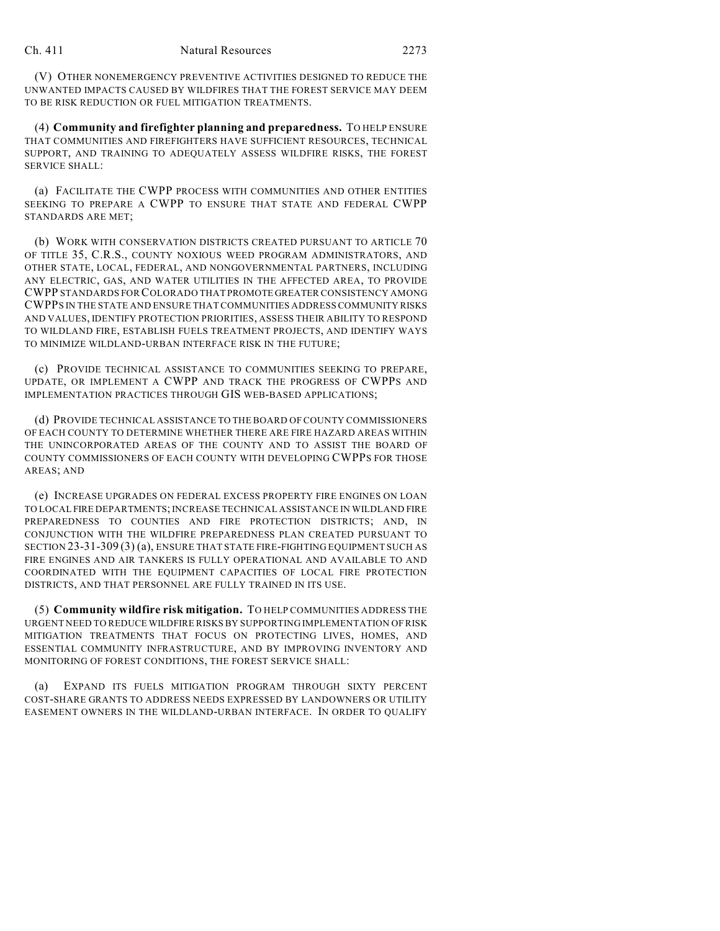(V) OTHER NONEMERGENCY PREVENTIVE ACTIVITIES DESIGNED TO REDUCE THE UNWANTED IMPACTS CAUSED BY WILDFIRES THAT THE FOREST SERVICE MAY DEEM TO BE RISK REDUCTION OR FUEL MITIGATION TREATMENTS.

(4) **Community and firefighter planning and preparedness.** TO HELP ENSURE THAT COMMUNITIES AND FIREFIGHTERS HAVE SUFFICIENT RESOURCES, TECHNICAL SUPPORT, AND TRAINING TO ADEQUATELY ASSESS WILDFIRE RISKS, THE FOREST SERVICE SHALL:

(a) FACILITATE THE CWPP PROCESS WITH COMMUNITIES AND OTHER ENTITIES SEEKING TO PREPARE A CWPP TO ENSURE THAT STATE AND FEDERAL CWPP STANDARDS ARE MET;

(b) WORK WITH CONSERVATION DISTRICTS CREATED PURSUANT TO ARTICLE 70 OF TITLE 35, C.R.S., COUNTY NOXIOUS WEED PROGRAM ADMINISTRATORS, AND OTHER STATE, LOCAL, FEDERAL, AND NONGOVERNMENTAL PARTNERS, INCLUDING ANY ELECTRIC, GAS, AND WATER UTILITIES IN THE AFFECTED AREA, TO PROVIDE CWPP STANDARDS FOR COLORADO THAT PROMOTE GREATER CONSISTENCY AMONG CWPPS IN THE STATE AND ENSURE THAT COMMUNITIES ADDRESS COMMUNITY RISKS AND VALUES, IDENTIFY PROTECTION PRIORITIES, ASSESS THEIR ABILITY TO RESPOND TO WILDLAND FIRE, ESTABLISH FUELS TREATMENT PROJECTS, AND IDENTIFY WAYS TO MINIMIZE WILDLAND-URBAN INTERFACE RISK IN THE FUTURE;

(c) PROVIDE TECHNICAL ASSISTANCE TO COMMUNITIES SEEKING TO PREPARE, UPDATE, OR IMPLEMENT A CWPP AND TRACK THE PROGRESS OF CWPPS AND IMPLEMENTATION PRACTICES THROUGH GIS WEB-BASED APPLICATIONS;

(d) PROVIDE TECHNICAL ASSISTANCE TO THE BOARD OF COUNTY COMMISSIONERS OF EACH COUNTY TO DETERMINE WHETHER THERE ARE FIRE HAZARD AREAS WITHIN THE UNINCORPORATED AREAS OF THE COUNTY AND TO ASSIST THE BOARD OF COUNTY COMMISSIONERS OF EACH COUNTY WITH DEVELOPING CWPPS FOR THOSE AREAS; AND

(e) INCREASE UPGRADES ON FEDERAL EXCESS PROPERTY FIRE ENGINES ON LOAN TO LOCAL FIRE DEPARTMENTS; INCREASE TECHNICAL ASSISTANCE IN WILDLAND FIRE PREPAREDNESS TO COUNTIES AND FIRE PROTECTION DISTRICTS; AND, IN CONJUNCTION WITH THE WILDFIRE PREPAREDNESS PLAN CREATED PURSUANT TO SECTION 23-31-309 (3) (a), ENSURE THAT STATE FIRE-FIGHTING EQUIPMENT SUCH AS FIRE ENGINES AND AIR TANKERS IS FULLY OPERATIONAL AND AVAILABLE TO AND COORDINATED WITH THE EQUIPMENT CAPACITIES OF LOCAL FIRE PROTECTION DISTRICTS, AND THAT PERSONNEL ARE FULLY TRAINED IN ITS USE.

(5) **Community wildfire risk mitigation.** TO HELP COMMUNITIES ADDRESS THE URGENT NEED TO REDUCE WILDFIRE RISKS BY SUPPORTING IMPLEMENTATION OF RISK MITIGATION TREATMENTS THAT FOCUS ON PROTECTING LIVES, HOMES, AND ESSENTIAL COMMUNITY INFRASTRUCTURE, AND BY IMPROVING INVENTORY AND MONITORING OF FOREST CONDITIONS, THE FOREST SERVICE SHALL:

(a) EXPAND ITS FUELS MITIGATION PROGRAM THROUGH SIXTY PERCENT COST-SHARE GRANTS TO ADDRESS NEEDS EXPRESSED BY LANDOWNERS OR UTILITY EASEMENT OWNERS IN THE WILDLAND-URBAN INTERFACE. IN ORDER TO QUALIFY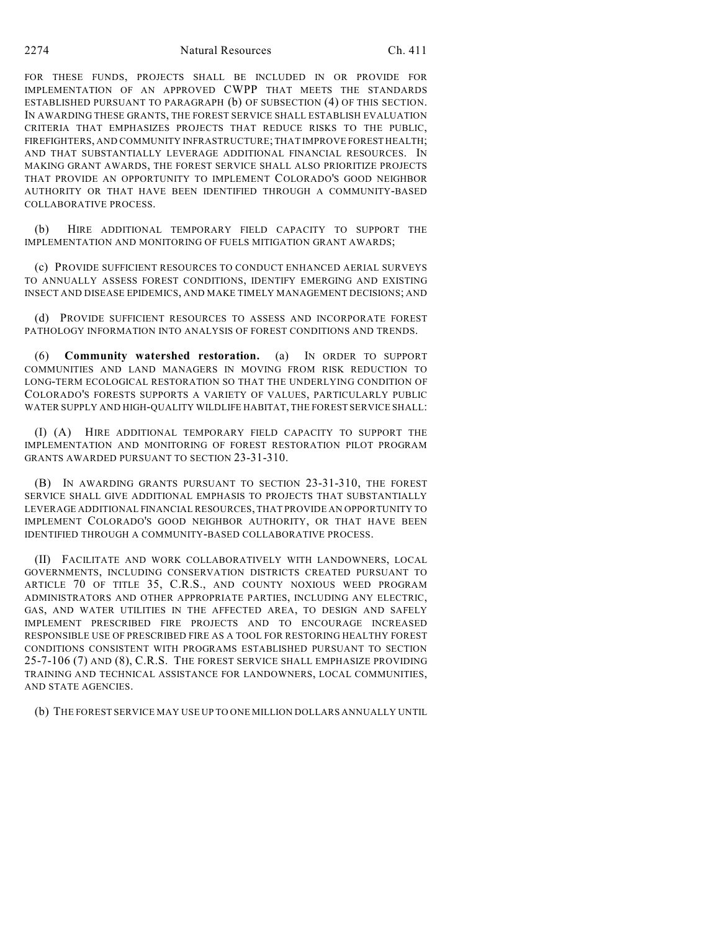2274 Natural Resources Ch. 411

FOR THESE FUNDS, PROJECTS SHALL BE INCLUDED IN OR PROVIDE FOR IMPLEMENTATION OF AN APPROVED CWPP THAT MEETS THE STANDARDS ESTABLISHED PURSUANT TO PARAGRAPH (b) OF SUBSECTION (4) OF THIS SECTION. IN AWARDING THESE GRANTS, THE FOREST SERVICE SHALL ESTABLISH EVALUATION CRITERIA THAT EMPHASIZES PROJECTS THAT REDUCE RISKS TO THE PUBLIC, FIREFIGHTERS, AND COMMUNITY INFRASTRUCTURE; THAT IMPROVE FOREST HEALTH; AND THAT SUBSTANTIALLY LEVERAGE ADDITIONAL FINANCIAL RESOURCES. IN MAKING GRANT AWARDS, THE FOREST SERVICE SHALL ALSO PRIORITIZE PROJECTS THAT PROVIDE AN OPPORTUNITY TO IMPLEMENT COLORADO'S GOOD NEIGHBOR AUTHORITY OR THAT HAVE BEEN IDENTIFIED THROUGH A COMMUNITY-BASED COLLABORATIVE PROCESS.

(b) HIRE ADDITIONAL TEMPORARY FIELD CAPACITY TO SUPPORT THE IMPLEMENTATION AND MONITORING OF FUELS MITIGATION GRANT AWARDS;

(c) PROVIDE SUFFICIENT RESOURCES TO CONDUCT ENHANCED AERIAL SURVEYS TO ANNUALLY ASSESS FOREST CONDITIONS, IDENTIFY EMERGING AND EXISTING INSECT AND DISEASE EPIDEMICS, AND MAKE TIMELY MANAGEMENT DECISIONS; AND

(d) PROVIDE SUFFICIENT RESOURCES TO ASSESS AND INCORPORATE FOREST PATHOLOGY INFORMATION INTO ANALYSIS OF FOREST CONDITIONS AND TRENDS.

(6) **Community watershed restoration.** (a) IN ORDER TO SUPPORT COMMUNITIES AND LAND MANAGERS IN MOVING FROM RISK REDUCTION TO LONG-TERM ECOLOGICAL RESTORATION SO THAT THE UNDERLYING CONDITION OF COLORADO'S FORESTS SUPPORTS A VARIETY OF VALUES, PARTICULARLY PUBLIC WATER SUPPLY AND HIGH-QUALITY WILDLIFE HABITAT, THE FOREST SERVICE SHALL:

(I) (A) HIRE ADDITIONAL TEMPORARY FIELD CAPACITY TO SUPPORT THE IMPLEMENTATION AND MONITORING OF FOREST RESTORATION PILOT PROGRAM GRANTS AWARDED PURSUANT TO SECTION 23-31-310.

(B) IN AWARDING GRANTS PURSUANT TO SECTION 23-31-310, THE FOREST SERVICE SHALL GIVE ADDITIONAL EMPHASIS TO PROJECTS THAT SUBSTANTIALLY LEVERAGE ADDITIONAL FINANCIAL RESOURCES, THAT PROVIDE AN OPPORTUNITY TO IMPLEMENT COLORADO'S GOOD NEIGHBOR AUTHORITY, OR THAT HAVE BEEN IDENTIFIED THROUGH A COMMUNITY-BASED COLLABORATIVE PROCESS.

(II) FACILITATE AND WORK COLLABORATIVELY WITH LANDOWNERS, LOCAL GOVERNMENTS, INCLUDING CONSERVATION DISTRICTS CREATED PURSUANT TO ARTICLE 70 OF TITLE 35, C.R.S., AND COUNTY NOXIOUS WEED PROGRAM ADMINISTRATORS AND OTHER APPROPRIATE PARTIES, INCLUDING ANY ELECTRIC, GAS, AND WATER UTILITIES IN THE AFFECTED AREA, TO DESIGN AND SAFELY IMPLEMENT PRESCRIBED FIRE PROJECTS AND TO ENCOURAGE INCREASED RESPONSIBLE USE OF PRESCRIBED FIRE AS A TOOL FOR RESTORING HEALTHY FOREST CONDITIONS CONSISTENT WITH PROGRAMS ESTABLISHED PURSUANT TO SECTION 25-7-106 (7) AND (8), C.R.S. THE FOREST SERVICE SHALL EMPHASIZE PROVIDING TRAINING AND TECHNICAL ASSISTANCE FOR LANDOWNERS, LOCAL COMMUNITIES, AND STATE AGENCIES.

(b) THE FOREST SERVICE MAY USE UP TO ONE MILLION DOLLARS ANNUALLY UNTIL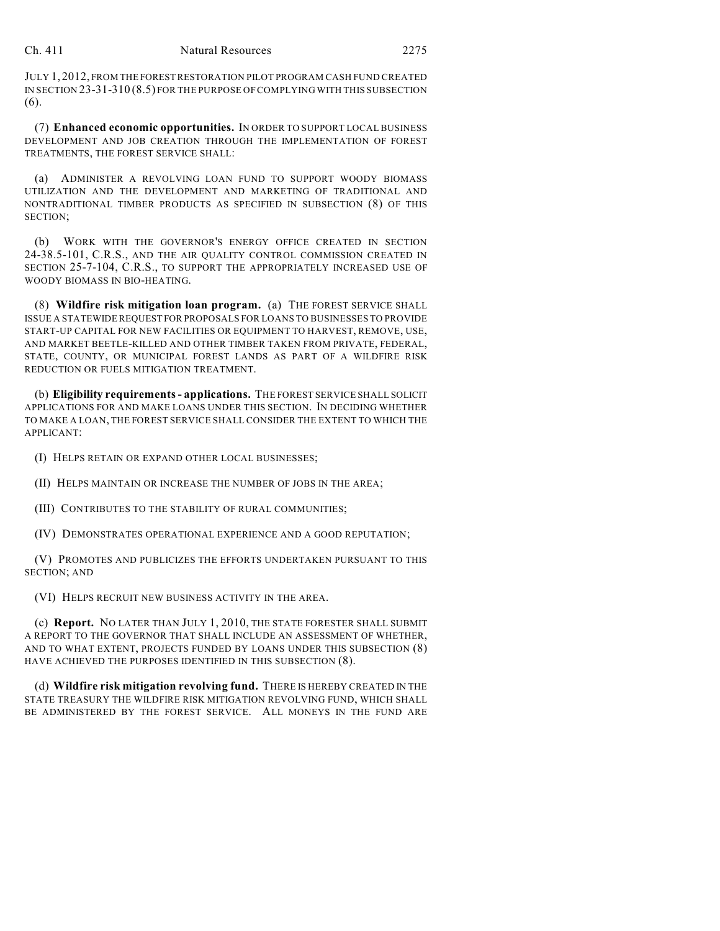JULY 1, 2012, FROM THE FOREST RESTORATION PILOT PROGRAM CASH FUND CREATED IN SECTION 23-31-310 (8.5) FOR THE PURPOSE OF COMPLYING WITH THIS SUBSECTION (6).

(7) **Enhanced economic opportunities.** IN ORDER TO SUPPORT LOCAL BUSINESS DEVELOPMENT AND JOB CREATION THROUGH THE IMPLEMENTATION OF FOREST TREATMENTS, THE FOREST SERVICE SHALL:

(a) ADMINISTER A REVOLVING LOAN FUND TO SUPPORT WOODY BIOMASS UTILIZATION AND THE DEVELOPMENT AND MARKETING OF TRADITIONAL AND NONTRADITIONAL TIMBER PRODUCTS AS SPECIFIED IN SUBSECTION (8) OF THIS SECTION;

(b) WORK WITH THE GOVERNOR'S ENERGY OFFICE CREATED IN SECTION 24-38.5-101, C.R.S., AND THE AIR QUALITY CONTROL COMMISSION CREATED IN SECTION 25-7-104, C.R.S., TO SUPPORT THE APPROPRIATELY INCREASED USE OF WOODY BIOMASS IN BIO-HEATING.

(8) **Wildfire risk mitigation loan program.** (a) THE FOREST SERVICE SHALL ISSUE A STATEWIDE REQUEST FOR PROPOSALS FOR LOANS TO BUSINESSES TO PROVIDE START-UP CAPITAL FOR NEW FACILITIES OR EQUIPMENT TO HARVEST, REMOVE, USE, AND MARKET BEETLE-KILLED AND OTHER TIMBER TAKEN FROM PRIVATE, FEDERAL, STATE, COUNTY, OR MUNICIPAL FOREST LANDS AS PART OF A WILDFIRE RISK REDUCTION OR FUELS MITIGATION TREATMENT.

(b) **Eligibility requirements - applications.** THE FOREST SERVICE SHALL SOLICIT APPLICATIONS FOR AND MAKE LOANS UNDER THIS SECTION. IN DECIDING WHETHER TO MAKE A LOAN, THE FOREST SERVICE SHALL CONSIDER THE EXTENT TO WHICH THE APPLICANT:

(I) HELPS RETAIN OR EXPAND OTHER LOCAL BUSINESSES;

(II) HELPS MAINTAIN OR INCREASE THE NUMBER OF JOBS IN THE AREA;

(III) CONTRIBUTES TO THE STABILITY OF RURAL COMMUNITIES;

(IV) DEMONSTRATES OPERATIONAL EXPERIENCE AND A GOOD REPUTATION;

(V) PROMOTES AND PUBLICIZES THE EFFORTS UNDERTAKEN PURSUANT TO THIS SECTION; AND

(VI) HELPS RECRUIT NEW BUSINESS ACTIVITY IN THE AREA.

(c) **Report.** NO LATER THAN JULY 1, 2010, THE STATE FORESTER SHALL SUBMIT A REPORT TO THE GOVERNOR THAT SHALL INCLUDE AN ASSESSMENT OF WHETHER, AND TO WHAT EXTENT, PROJECTS FUNDED BY LOANS UNDER THIS SUBSECTION (8) HAVE ACHIEVED THE PURPOSES IDENTIFIED IN THIS SUBSECTION (8).

(d) **Wildfire risk mitigation revolving fund.** THERE IS HEREBY CREATED IN THE STATE TREASURY THE WILDFIRE RISK MITIGATION REVOLVING FUND, WHICH SHALL BE ADMINISTERED BY THE FOREST SERVICE. ALL MONEYS IN THE FUND ARE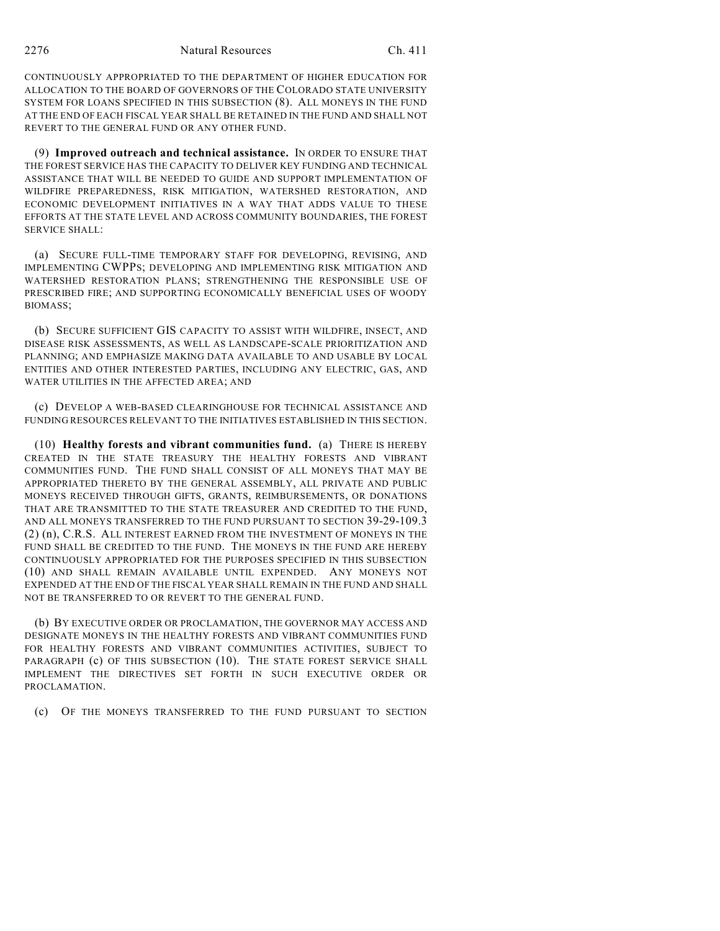CONTINUOUSLY APPROPRIATED TO THE DEPARTMENT OF HIGHER EDUCATION FOR ALLOCATION TO THE BOARD OF GOVERNORS OF THE COLORADO STATE UNIVERSITY SYSTEM FOR LOANS SPECIFIED IN THIS SUBSECTION (8). ALL MONEYS IN THE FUND AT THE END OF EACH FISCAL YEAR SHALL BE RETAINED IN THE FUND AND SHALL NOT REVERT TO THE GENERAL FUND OR ANY OTHER FUND.

(9) **Improved outreach and technical assistance.** IN ORDER TO ENSURE THAT THE FOREST SERVICE HAS THE CAPACITY TO DELIVER KEY FUNDING AND TECHNICAL ASSISTANCE THAT WILL BE NEEDED TO GUIDE AND SUPPORT IMPLEMENTATION OF WILDFIRE PREPAREDNESS, RISK MITIGATION, WATERSHED RESTORATION, AND ECONOMIC DEVELOPMENT INITIATIVES IN A WAY THAT ADDS VALUE TO THESE EFFORTS AT THE STATE LEVEL AND ACROSS COMMUNITY BOUNDARIES, THE FOREST SERVICE SHALL:

(a) SECURE FULL-TIME TEMPORARY STAFF FOR DEVELOPING, REVISING, AND IMPLEMENTING CWPPS; DEVELOPING AND IMPLEMENTING RISK MITIGATION AND WATERSHED RESTORATION PLANS; STRENGTHENING THE RESPONSIBLE USE OF PRESCRIBED FIRE; AND SUPPORTING ECONOMICALLY BENEFICIAL USES OF WOODY BIOMASS;

(b) SECURE SUFFICIENT GIS CAPACITY TO ASSIST WITH WILDFIRE, INSECT, AND DISEASE RISK ASSESSMENTS, AS WELL AS LANDSCAPE-SCALE PRIORITIZATION AND PLANNING; AND EMPHASIZE MAKING DATA AVAILABLE TO AND USABLE BY LOCAL ENTITIES AND OTHER INTERESTED PARTIES, INCLUDING ANY ELECTRIC, GAS, AND WATER UTILITIES IN THE AFFECTED AREA; AND

(c) DEVELOP A WEB-BASED CLEARINGHOUSE FOR TECHNICAL ASSISTANCE AND FUNDING RESOURCES RELEVANT TO THE INITIATIVES ESTABLISHED IN THIS SECTION.

(10) **Healthy forests and vibrant communities fund.** (a) THERE IS HEREBY CREATED IN THE STATE TREASURY THE HEALTHY FORESTS AND VIBRANT COMMUNITIES FUND. THE FUND SHALL CONSIST OF ALL MONEYS THAT MAY BE APPROPRIATED THERETO BY THE GENERAL ASSEMBLY, ALL PRIVATE AND PUBLIC MONEYS RECEIVED THROUGH GIFTS, GRANTS, REIMBURSEMENTS, OR DONATIONS THAT ARE TRANSMITTED TO THE STATE TREASURER AND CREDITED TO THE FUND, AND ALL MONEYS TRANSFERRED TO THE FUND PURSUANT TO SECTION 39-29-109.3 (2) (n), C.R.S. ALL INTEREST EARNED FROM THE INVESTMENT OF MONEYS IN THE FUND SHALL BE CREDITED TO THE FUND. THE MONEYS IN THE FUND ARE HEREBY CONTINUOUSLY APPROPRIATED FOR THE PURPOSES SPECIFIED IN THIS SUBSECTION (10) AND SHALL REMAIN AVAILABLE UNTIL EXPENDED. ANY MONEYS NOT EXPENDED AT THE END OF THE FISCAL YEAR SHALL REMAIN IN THE FUND AND SHALL NOT BE TRANSFERRED TO OR REVERT TO THE GENERAL FUND.

(b) BY EXECUTIVE ORDER OR PROCLAMATION, THE GOVERNOR MAY ACCESS AND DESIGNATE MONEYS IN THE HEALTHY FORESTS AND VIBRANT COMMUNITIES FUND FOR HEALTHY FORESTS AND VIBRANT COMMUNITIES ACTIVITIES, SUBJECT TO PARAGRAPH (c) OF THIS SUBSECTION (10). THE STATE FOREST SERVICE SHALL IMPLEMENT THE DIRECTIVES SET FORTH IN SUCH EXECUTIVE ORDER OR PROCLAMATION.

(c) OF THE MONEYS TRANSFERRED TO THE FUND PURSUANT TO SECTION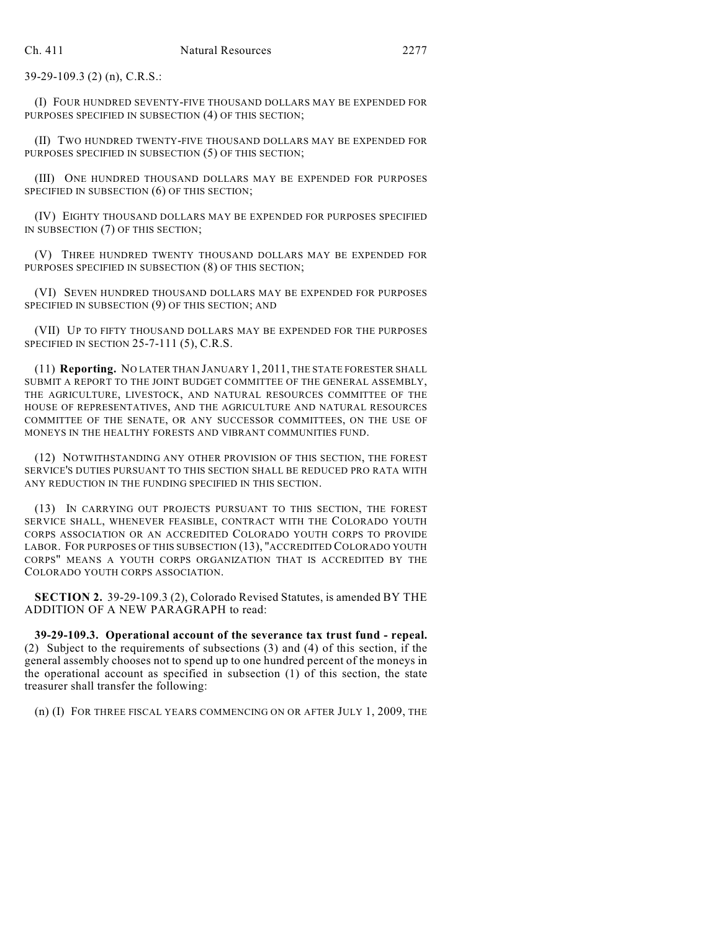39-29-109.3 (2) (n), C.R.S.:

(I) FOUR HUNDRED SEVENTY-FIVE THOUSAND DOLLARS MAY BE EXPENDED FOR PURPOSES SPECIFIED IN SUBSECTION (4) OF THIS SECTION;

(II) TWO HUNDRED TWENTY-FIVE THOUSAND DOLLARS MAY BE EXPENDED FOR PURPOSES SPECIFIED IN SUBSECTION (5) OF THIS SECTION;

(III) ONE HUNDRED THOUSAND DOLLARS MAY BE EXPENDED FOR PURPOSES SPECIFIED IN SUBSECTION (6) OF THIS SECTION;

(IV) EIGHTY THOUSAND DOLLARS MAY BE EXPENDED FOR PURPOSES SPECIFIED IN SUBSECTION (7) OF THIS SECTION;

(V) THREE HUNDRED TWENTY THOUSAND DOLLARS MAY BE EXPENDED FOR PURPOSES SPECIFIED IN SUBSECTION (8) OF THIS SECTION;

(VI) SEVEN HUNDRED THOUSAND DOLLARS MAY BE EXPENDED FOR PURPOSES SPECIFIED IN SUBSECTION (9) OF THIS SECTION; AND

(VII) UP TO FIFTY THOUSAND DOLLARS MAY BE EXPENDED FOR THE PURPOSES SPECIFIED IN SECTION 25-7-111 (5), C.R.S.

(11) **Reporting.** NO LATER THAN JANUARY 1, 2011, THE STATE FORESTER SHALL SUBMIT A REPORT TO THE JOINT BUDGET COMMITTEE OF THE GENERAL ASSEMBLY, THE AGRICULTURE, LIVESTOCK, AND NATURAL RESOURCES COMMITTEE OF THE HOUSE OF REPRESENTATIVES, AND THE AGRICULTURE AND NATURAL RESOURCES COMMITTEE OF THE SENATE, OR ANY SUCCESSOR COMMITTEES, ON THE USE OF MONEYS IN THE HEALTHY FORESTS AND VIBRANT COMMUNITIES FUND.

(12) NOTWITHSTANDING ANY OTHER PROVISION OF THIS SECTION, THE FOREST SERVICE'S DUTIES PURSUANT TO THIS SECTION SHALL BE REDUCED PRO RATA WITH ANY REDUCTION IN THE FUNDING SPECIFIED IN THIS SECTION.

(13) IN CARRYING OUT PROJECTS PURSUANT TO THIS SECTION, THE FOREST SERVICE SHALL, WHENEVER FEASIBLE, CONTRACT WITH THE COLORADO YOUTH CORPS ASSOCIATION OR AN ACCREDITED COLORADO YOUTH CORPS TO PROVIDE LABOR. FOR PURPOSES OF THIS SUBSECTION (13), "ACCREDITED COLORADO YOUTH CORPS" MEANS A YOUTH CORPS ORGANIZATION THAT IS ACCREDITED BY THE COLORADO YOUTH CORPS ASSOCIATION.

**SECTION 2.** 39-29-109.3 (2), Colorado Revised Statutes, is amended BY THE ADDITION OF A NEW PARAGRAPH to read:

**39-29-109.3. Operational account of the severance tax trust fund - repeal.** (2) Subject to the requirements of subsections (3) and (4) of this section, if the general assembly chooses not to spend up to one hundred percent of the moneys in the operational account as specified in subsection (1) of this section, the state treasurer shall transfer the following:

(n) (I) FOR THREE FISCAL YEARS COMMENCING ON OR AFTER JULY 1, 2009, THE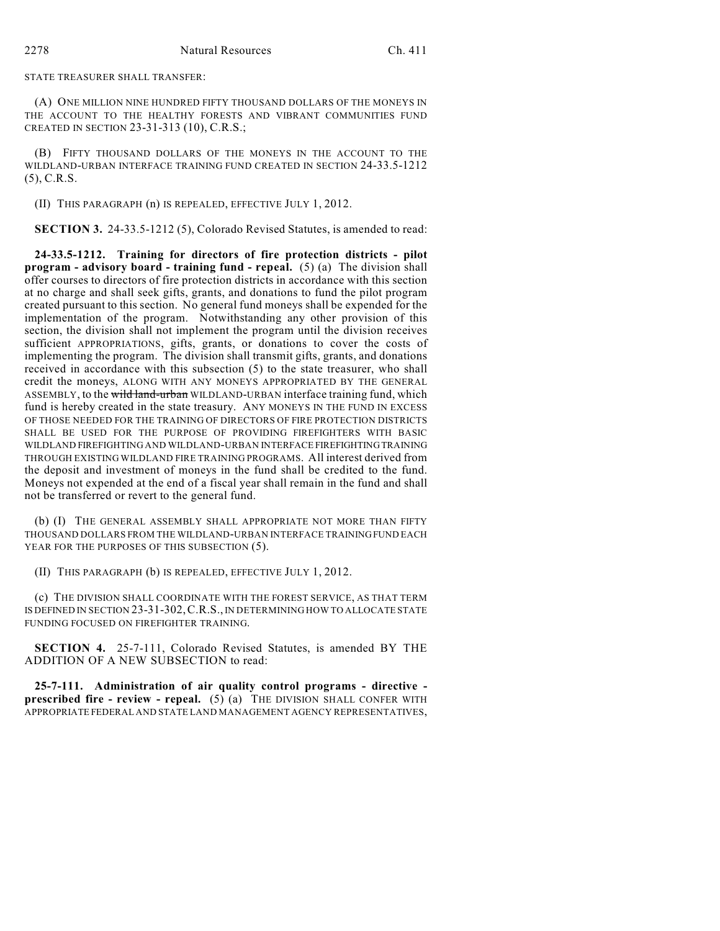STATE TREASURER SHALL TRANSFER:

(A) ONE MILLION NINE HUNDRED FIFTY THOUSAND DOLLARS OF THE MONEYS IN THE ACCOUNT TO THE HEALTHY FORESTS AND VIBRANT COMMUNITIES FUND CREATED IN SECTION 23-31-313 (10), C.R.S.;

(B) FIFTY THOUSAND DOLLARS OF THE MONEYS IN THE ACCOUNT TO THE WILDLAND-URBAN INTERFACE TRAINING FUND CREATED IN SECTION 24-33.5-1212 (5), C.R.S.

(II) THIS PARAGRAPH (n) IS REPEALED, EFFECTIVE JULY 1, 2012.

**SECTION 3.** 24-33.5-1212 (5), Colorado Revised Statutes, is amended to read:

**24-33.5-1212. Training for directors of fire protection districts - pilot program - advisory board - training fund - repeal.** (5) (a) The division shall offer courses to directors of fire protection districts in accordance with this section at no charge and shall seek gifts, grants, and donations to fund the pilot program created pursuant to this section. No general fund moneys shall be expended for the implementation of the program. Notwithstanding any other provision of this section, the division shall not implement the program until the division receives sufficient APPROPRIATIONS, gifts, grants, or donations to cover the costs of implementing the program. The division shall transmit gifts, grants, and donations received in accordance with this subsection (5) to the state treasurer, who shall credit the moneys, ALONG WITH ANY MONEYS APPROPRIATED BY THE GENERAL ASSEMBLY, to the wild land-urban WILDLAND-URBAN interface training fund, which fund is hereby created in the state treasury. ANY MONEYS IN THE FUND IN EXCESS OF THOSE NEEDED FOR THE TRAINING OF DIRECTORS OF FIRE PROTECTION DISTRICTS SHALL BE USED FOR THE PURPOSE OF PROVIDING FIREFIGHTERS WITH BASIC WILDLAND FIREFIGHTING AND WILDLAND-URBAN INTERFACE FIREFIGHTING TRAINING THROUGH EXISTING WILDLAND FIRE TRAINING PROGRAMS. All interest derived from the deposit and investment of moneys in the fund shall be credited to the fund. Moneys not expended at the end of a fiscal year shall remain in the fund and shall not be transferred or revert to the general fund.

(b) (I) THE GENERAL ASSEMBLY SHALL APPROPRIATE NOT MORE THAN FIFTY THOUSAND DOLLARS FROM THE WILDLAND-URBAN INTERFACE TRAINING FUND EACH YEAR FOR THE PURPOSES OF THIS SUBSECTION  $(5)$ .

(II) THIS PARAGRAPH (b) IS REPEALED, EFFECTIVE JULY 1, 2012.

(c) THE DIVISION SHALL COORDINATE WITH THE FOREST SERVICE, AS THAT TERM IS DEFINED IN SECTION 23-31-302,C.R.S., IN DETERMINING HOW TO ALLOCATE STATE FUNDING FOCUSED ON FIREFIGHTER TRAINING.

**SECTION 4.** 25-7-111, Colorado Revised Statutes, is amended BY THE ADDITION OF A NEW SUBSECTION to read:

**25-7-111. Administration of air quality control programs - directive prescribed fire - review - repeal.** (5) (a) THE DIVISION SHALL CONFER WITH APPROPRIATE FEDERAL AND STATE LAND MANAGEMENT AGENCY REPRESENTATIVES,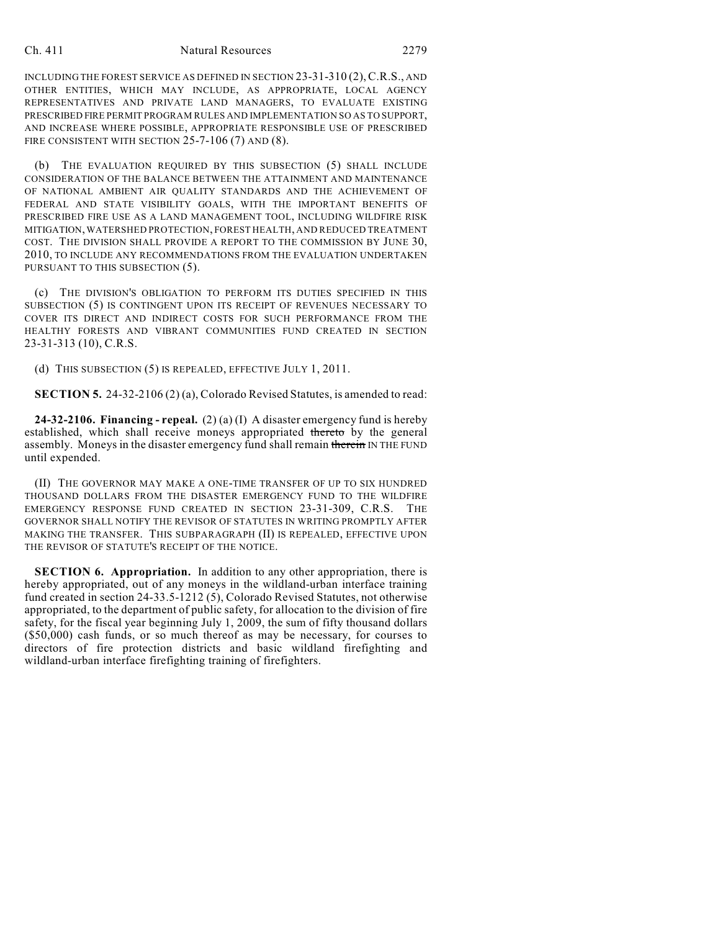INCLUDING THE FOREST SERVICE AS DEFINED IN SECTION 23-31-310 (2),C.R.S., AND OTHER ENTITIES, WHICH MAY INCLUDE, AS APPROPRIATE, LOCAL AGENCY REPRESENTATIVES AND PRIVATE LAND MANAGERS, TO EVALUATE EXISTING PRESCRIBED FIRE PERMIT PROGRAM RULES AND IMPLEMENTATION SO AS TO SUPPORT, AND INCREASE WHERE POSSIBLE, APPROPRIATE RESPONSIBLE USE OF PRESCRIBED FIRE CONSISTENT WITH SECTION 25-7-106 (7) AND (8).

(b) THE EVALUATION REQUIRED BY THIS SUBSECTION (5) SHALL INCLUDE CONSIDERATION OF THE BALANCE BETWEEN THE ATTAINMENT AND MAINTENANCE OF NATIONAL AMBIENT AIR QUALITY STANDARDS AND THE ACHIEVEMENT OF FEDERAL AND STATE VISIBILITY GOALS, WITH THE IMPORTANT BENEFITS OF PRESCRIBED FIRE USE AS A LAND MANAGEMENT TOOL, INCLUDING WILDFIRE RISK MITIGATION, WATERSHED PROTECTION, FOREST HEALTH, AND REDUCED TREATMENT COST. THE DIVISION SHALL PROVIDE A REPORT TO THE COMMISSION BY JUNE 30, 2010, TO INCLUDE ANY RECOMMENDATIONS FROM THE EVALUATION UNDERTAKEN PURSUANT TO THIS SUBSECTION (5).

(c) THE DIVISION'S OBLIGATION TO PERFORM ITS DUTIES SPECIFIED IN THIS SUBSECTION (5) IS CONTINGENT UPON ITS RECEIPT OF REVENUES NECESSARY TO COVER ITS DIRECT AND INDIRECT COSTS FOR SUCH PERFORMANCE FROM THE HEALTHY FORESTS AND VIBRANT COMMUNITIES FUND CREATED IN SECTION 23-31-313 (10), C.R.S.

(d) THIS SUBSECTION (5) IS REPEALED, EFFECTIVE JULY 1, 2011.

**SECTION 5.** 24-32-2106 (2) (a), Colorado Revised Statutes, is amended to read:

**24-32-2106. Financing - repeal.** (2) (a) (I) A disaster emergency fund is hereby established, which shall receive moneys appropriated thereto by the general assembly. Moneys in the disaster emergency fund shall remain therein IN THE FUND until expended.

(II) THE GOVERNOR MAY MAKE A ONE-TIME TRANSFER OF UP TO SIX HUNDRED THOUSAND DOLLARS FROM THE DISASTER EMERGENCY FUND TO THE WILDFIRE EMERGENCY RESPONSE FUND CREATED IN SECTION 23-31-309, C.R.S. THE GOVERNOR SHALL NOTIFY THE REVISOR OF STATUTES IN WRITING PROMPTLY AFTER MAKING THE TRANSFER. THIS SUBPARAGRAPH (II) IS REPEALED, EFFECTIVE UPON THE REVISOR OF STATUTE'S RECEIPT OF THE NOTICE.

**SECTION 6. Appropriation.** In addition to any other appropriation, there is hereby appropriated, out of any moneys in the wildland-urban interface training fund created in section 24-33.5-1212 (5), Colorado Revised Statutes, not otherwise appropriated, to the department of public safety, for allocation to the division of fire safety, for the fiscal year beginning July 1, 2009, the sum of fifty thousand dollars (\$50,000) cash funds, or so much thereof as may be necessary, for courses to directors of fire protection districts and basic wildland firefighting and wildland-urban interface firefighting training of firefighters.